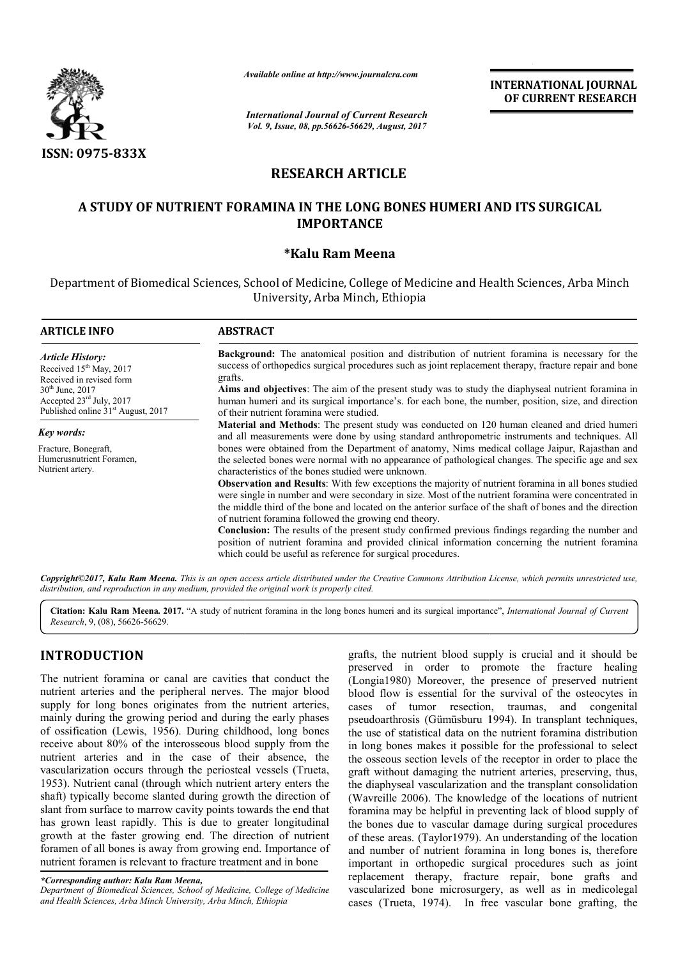

*Available online at http://www.journal http://www.journalcra.com*

*International Journal of Current Research Vol. 9, Issue, 08, pp.56626-56629, August, 2017*

**INTERNATIONAL JOURNAL OF CURRENT RESEARCH** 

# **RESEARCH ARTICLE**

## **A STUDY OF NUTRIENT FORAMINA IN THE LONG BONES HUMERI AND ITS SURGICAL IMPORTANCE**

## **\*Kalu Ram Meena**

Department of Biomedical Sciences, School of Medicine, College of Medicine and Health Sciences, Arba Minch University, Arba Minch, Ethiopia

| <b>ARTICLE INFO</b>                                                                                                                                                                                          | <b>ABSTRACT</b>                                                                                                                                                                                                                                                                                                                                                                                                                                                                      |  |  |  |
|--------------------------------------------------------------------------------------------------------------------------------------------------------------------------------------------------------------|--------------------------------------------------------------------------------------------------------------------------------------------------------------------------------------------------------------------------------------------------------------------------------------------------------------------------------------------------------------------------------------------------------------------------------------------------------------------------------------|--|--|--|
| <b>Article History:</b><br>Received 15 <sup>th</sup> May, 2017<br>Received in revised form<br>$30^{th}$ June, 2017<br>Accepted $23^{\text{rd}}$ July, 2017<br>Published online 31 <sup>st</sup> August, 2017 | <b>Background:</b> The anatomical position and distribution of nutrient foramina is necessary for the<br>success of orthopedics surgical procedures such as joint replacement therapy, fracture repair and bone<br>grafts.<br>Aims and objectives: The aim of the present study was to study the diaphyseal nutrient foramina in<br>human humeri and its surgical importance's, for each bone, the number, position, size, and direction<br>of their nutrient foramina were studied. |  |  |  |
| Key words:<br>Fracture, Bonegraft,<br>Humerusnutrient Foramen,<br>Nutrient artery.                                                                                                                           | <b>Material and Methods</b> : The present study was conducted on 120 human cleaned and dried humeri<br>and all measurements were done by using standard anthropometric instruments and techniques. All<br>bones were obtained from the Department of anatomy, Nims medical collage Jaipur, Rajasthan and<br>the selected bones were normal with no appearance of pathological changes. The specific age and sex<br>characteristics of the bones studied were unknown.                |  |  |  |
|                                                                                                                                                                                                              | <b>Observation and Results:</b> With few exceptions the majority of nutrient foramina in all bones studied<br>were single in number and were secondary in size. Most of the nutrient foramina were concentrated in<br>the middle third of the bone and located on the anterior surface of the shaft of bones and the direction<br>of nutrient foramina followed the growing end theory.                                                                                              |  |  |  |
|                                                                                                                                                                                                              | <b>Conclusion:</b> The results of the present study confirmed previous findings regarding the number and<br>position of nutrient foramina and provided clinical information concerning the nutrient foramina<br>which could be useful as reference for surgical procedures.                                                                                                                                                                                                          |  |  |  |

Copyright©2017, Kalu Ram Meena. This is an open access article distributed under the Creative Commons Attribution License, which permits unrestricted use, *distribution, and reproduction in any medium, provided the original work is properly cited.*

Citation: Kalu Ram Meena. 2017. "A study of nutrient foramina in the long bones humeri and its surgical importance", *International Journal of Current Research*, 9, (08), 56626-56629.

## **INTRODUCTION**

The nutrient foramina or canal are cavities that conduct the nutrient arteries and the peripheral nerves. The major blood supply for long bones originates from the nutrient arteries. mainly during the growing period and during the early phases of ossification (Lewis, 1956). During childhood, long bones receive about 80% of the interosseous blood supply from the nutrient arteries and in the case of their absence, the vascularization occurs through the periosteal vessels (Trueta, 1953). Nutrient canal (through which nutrient artery enters the shaft) typically become slanted during growth the direction of slant from surface to marrow cavity points towards the end that has grown least rapidly. This is due to greater longitudinal growth at the faster growing end. The direction of nutrient foramen of all bones is away from growing end. Importance of nutrient foramen is relevant to fracture treatment and in bone

*Department of Biomedical Sciences, School of Medicine, College of Medicine and Health Sciences, Arba Minch University, Arba Minch, Ethiopia*

grafts, the nutrient blood supply is crucial and it should be<br>preserved in order to promote the fracture healing<br>al nerves. The major blood<br>flood flow is essential for the survival of the osteocytes in<br>from the nutrient ar preserved in order to promote the fracture healing (Longia1980) Moreover, the presence of preserved nutrient blood flow is essential for the survival of the osteocytes in cases of tumor resection, traumas, and congenital pseudoarthrosis (Gümüsburu 1994). In transplant techniques, the use of statistical data on the nutrient foramina distribution in long bones makes it possible for the professional to select the osseous section levels of the receptor in order to place the graft without damaging the nutrient arteries, preserving, thus, the diaphyseal vascularization and the transplant consolidation (Wavreille 2006). The knowledge of the locations of nutrient foramina may be helpful in preventing lack of blood supply of the bones due to vascular damage during surgical procedures of these areas. (Taylor1979). An understanding of the location and number of nutrient foramina in long bones is, therefore the bones due to vascular damage during surgical procedures of these areas. (Taylor1979). An understanding of the location and number of nutrient foramina in long bones is, therefore important in orthopedic surgical proced replacement therapy, fracture repair, bone grafts and vascularized bone microsurgery, as well as in medicolegal cases (Trueta, 1974). In free vascular bone grafting, the preserved in order to promote the fracture healing (Longia1980) Moreover, the presence of preserved nutrient blood flow is essential for the survival of the osteocytes in cases of tumor resection, traumas, and congenital If use of statistical data on the nutrient foramina distribution<br>long bones makes it possible for the professional to select<br>osseous section levels of the receptor in order to place the It without damaging the nutrient arteries, preserving, diaphyseal vascularization and the transplant consolid<br>avreille 2006). The knowledge of the locations of nu **INTERNATIONAL JOURNAL CONSULARATE CONSULAR CONSULAR CONSULAR CONSULAR CONSULAR CONSULAR CONSULAR CONSULAR CONSULAR CONSULAR CONSULAR CONSULAR CONSULAR CONSULAR CONSULAR CONSULAR CONSULAR CONSULAR CONSULAR CONSULAR CONSUL** 

*<sup>\*</sup>Corresponding author: Kalu Ram Meena,*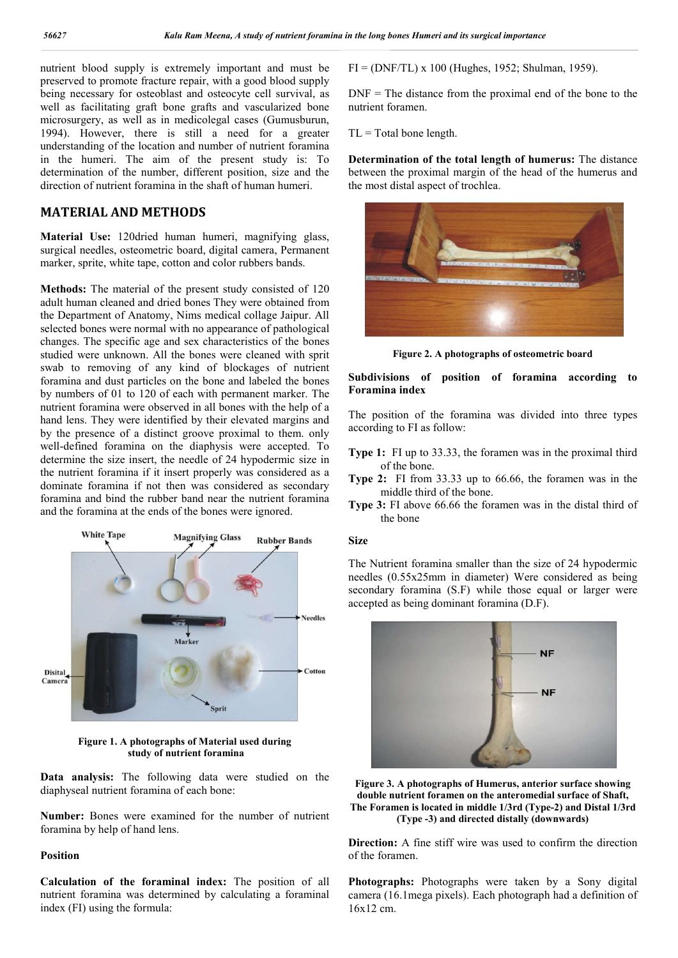nutrient blood supply is extremely important and must be preserved to promote fracture repair, with a good blood supply being necessary for osteoblast and osteocyte cell survival, as well as facilitating graft bone grafts and vascularized bone microsurgery, as well as in medicolegal cases (Gumusburun, 1994). However, there is still a need for a greater understanding of the location and number of nutrient foramina in the humeri. The aim of the present study is: To determination of the number, different position, size and the direction of nutrient foramina in the shaft of human humeri.

## **MATERIAL AND METHODS**

**Material Use:** 120dried human humeri, magnifying glass, surgical needles, osteometric board, digital camera, Permanent marker, sprite, white tape, cotton and color rubbers bands.

**Methods:** The material of the present study consisted of 120 adult human cleaned and dried bones They were obtained from the Department of Anatomy, Nims medical collage Jaipur. All selected bones were normal with no appearance of pathological changes. The specific age and sex characteristics of the bones studied were unknown. All the bones were cleaned with sprit swab to removing of any kind of blockages of nutrient foramina and dust particles on the bone and labeled the bones by numbers of 01 to 120 of each with permanent marker. The nutrient foramina were observed in all bones with the help of a hand lens. They were identified by their elevated margins and by the presence of a distinct groove proximal to them. only well-defined foramina on the diaphysis were accepted. To determine the size insert, the needle of 24 hypodermic size in the nutrient foramina if it insert properly was considered as a dominate foramina if not then was considered as secondary foramina and bind the rubber band near the nutrient foramina and the foramina at the ends of the bones were ignored.



**Figure 1. A photographs of Material used during study of nutrient foramina**

**Data analysis:** The following data were studied on the diaphyseal nutrient foramina of each bone:

**Number:** Bones were examined for the number of nutrient foramina by help of hand lens.

#### **Position**

**Calculation of the foraminal index:** The position of all nutrient foramina was determined by calculating a foraminal index (FI) using the formula:

FI = (DNF/TL) x 100 (Hughes, 1952; Shulman, 1959).

 $DNF = The distance from the proximal end of the bone to the$ nutrient foramen.

 $TL = Total bone length$ .

**Determination of the total length of humerus:** The distance between the proximal margin of the head of the humerus and the most distal aspect of trochlea.



**Figure 2. A photographs of osteometric board**

## **Subdivisions of position of foramina according to Foramina index**

The position of the foramina was divided into three types according to FI as follow:

- **Type 1:** FI up to 33.33, the foramen was in the proximal third of the bone.
- **Type 2:** FI from 33.33 up to 66.66, the foramen was in the middle third of the bone.
- **Type 3:** FI above 66.66 the foramen was in the distal third of the bone

### **Size**

The Nutrient foramina smaller than the size of 24 hypodermic needles (0.55x25mm in diameter) Were considered as being secondary foramina (S.F) while those equal or larger were accepted as being dominant foramina (D.F).



**Figure 3. A photographs of Humerus, anterior surface showing double nutrient foramen on the anteromedial surface of Shaft, The Foramen is located in middle 1/3rd (Type-2) and Distal 1/3rd (Type -3) and directed distally (downwards)**

**Direction:** A fine stiff wire was used to confirm the direction of the foramen.

**Photographs:** Photographs were taken by a Sony digital camera (16.1mega pixels). Each photograph had a definition of 16x12 cm.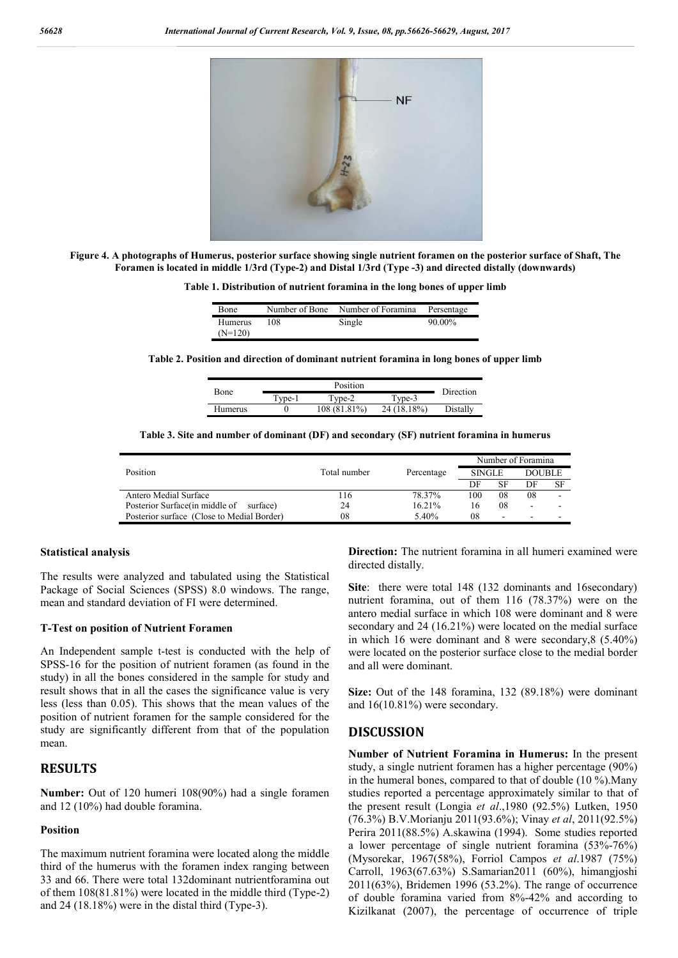

**Figure 4. A photographs of Humerus, posterior surface showing single nutrient foramen on the posterior surface of Shaft, The Foramen is located in middle 1/3rd (Type-2) and Distal 1/3rd (Type -3) and directed distally (downwards)**

**Table 1. Distribution of nutrient foramina in the long bones of upper limb**

| <b>Bone</b>                 |     | Number of Bone Number of Foramina | Persentage |
|-----------------------------|-----|-----------------------------------|------------|
| <b>Humerus</b><br>$(N=120)$ | 108 | Single                            | 90.00%     |

**Table 2. Position and direction of dominant nutrient foramina in long bones of upper limb**

| Bone    |                  | Direction    |             |          |
|---------|------------------|--------------|-------------|----------|
|         | $T$ vne- $\vert$ | Tyne-2       | Type-3      |          |
| Humerus |                  | 108 (81.81%) | 24 (18.18%) | Distally |

**Table 3. Site and number of dominant (DF) and secondary (SF) nutrient foramina in humerus**

| Total number | Percentage | Number of Foramina |                          |                          |    |
|--------------|------------|--------------------|--------------------------|--------------------------|----|
|              |            | <b>SINGLE</b>      |                          | DOUBLE                   |    |
|              |            | DF                 | SF                       | DF                       | SF |
| 116          | 78.37%     | 100                | 08                       | 08                       |    |
| 24           | 16.21%     |                    | 08                       | $\overline{\phantom{a}}$ |    |
| 08           | 5.40%      | 08                 | $\overline{\phantom{a}}$ | ۰.                       |    |
|              |            |                    |                          |                          |    |

#### **Statistical analysis**

The results were analyzed and tabulated using the Statistical Package of Social Sciences (SPSS) 8.0 windows. The range, mean and standard deviation of FI were determined.

#### **T-Test on position of Nutrient Foramen**

An Independent sample t-test is conducted with the help of SPSS-16 for the position of nutrient foramen (as found in the study) in all the bones considered in the sample for study and result shows that in all the cases the significance value is very less (less than 0.05). This shows that the mean values of the position of nutrient foramen for the sample considered for the study are significantly different from that of the population mean.

## **RESULTS**

**Number:** Out of 120 humeri 108(90%) had a single foramen and 12 (10%) had double foramina.

#### **Position**

The maximum nutrient foramina were located along the middle third of the humerus with the foramen index ranging between 33 and 66. There were total 132dominant nutrientforamina out of them 108(81.81%) were located in the middle third (Type-2) and 24 (18.18%) were in the distal third (Type-3).

**Direction:** The nutrient foramina in all humeri examined were directed distally.

**Site**: there were total 148 (132 dominants and 16secondary) nutrient foramina, out of them 116 (78.37%) were on the antero medial surface in which 108 were dominant and 8 were secondary and 24 (16.21%) were located on the medial surface in which 16 were dominant and 8 were secondary,8 (5.40%) were located on the posterior surface close to the medial border and all were dominant.

**Size:** Out of the 148 foramina, 132 (89.18%) were dominant and 16(10.81%) were secondary.

### **DISCUSSION**

**Number of Nutrient Foramina in Humerus:** In the present study, a single nutrient foramen has a higher percentage (90%) in the humeral bones, compared to that of double (10 %).Many studies reported a percentage approximately similar to that of the present result (Longia *et al*.,1980 (92.5%) Lutken, 1950 (76.3%) B.V.Morianju 2011(93.6%); Vinay *et al*, 2011(92.5%) Perira 2011(88.5%) A.skawina (1994). Some studies reported a lower percentage of single nutrient foramina (53%-76%) (Mysorekar, 1967(58%), Forriol Campos *et al*.1987 (75%) Carroll, 1963(67.63%) S.Samarian2011 (60%), himangjoshi 2011(63%), Bridemen 1996 (53.2%). The range of occurrence of double foramina varied from 8%-42% and according to Kizilkanat (2007), the percentage of occurrence of triple